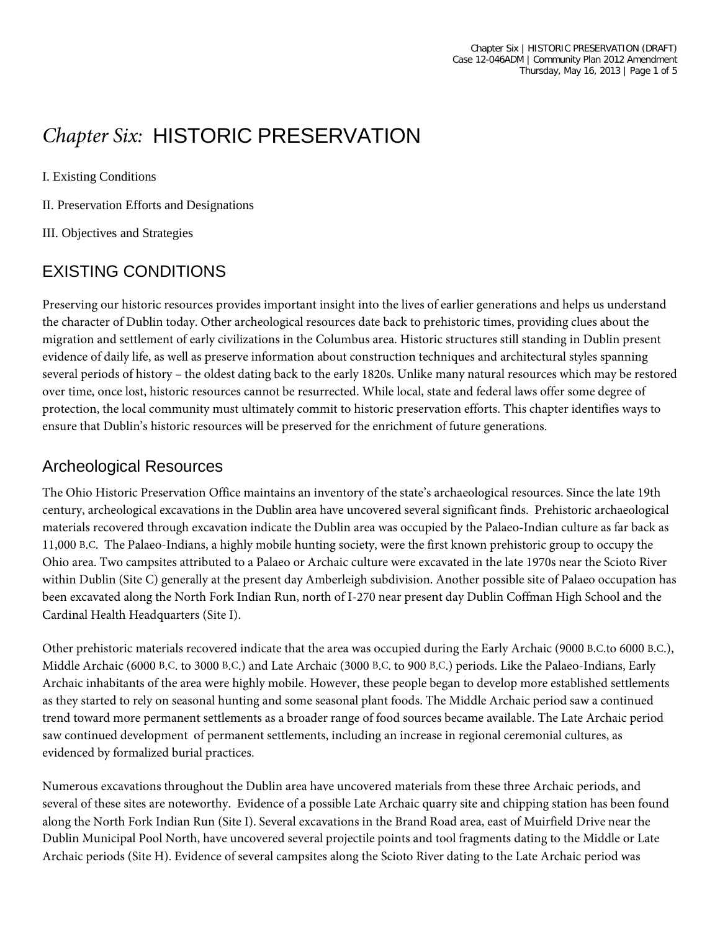# *Chapter Six:* HISTORIC PRESERVATION

I. Existing Conditions

II. Preservation Efforts and Designations

III. Objectives and Strategies

# EXISTING CONDITIONS

Preserving our historic resources provides important insight into the lives of earlier generations and helps us understand the character of Dublin today. Other archeological resources date back to prehistoric times, providing clues about the migration and settlement of early civilizations in the Columbus area. Historic structures still standing in Dublin present evidence of daily life, as well as preserve information about construction techniques and architectural styles spanning several periods of history – the oldest dating back to the early 1820s. Unlike many natural resources which may be restored over time, once lost, historic resources cannot be resurrected. While local, state and federal laws offer some degree of protection, the local community must ultimately commit to historic preservation efforts. This chapter identifies ways to ensure that Dublin's historic resources will be preserved for the enrichment of future generations.

#### Archeological Resources

The Ohio Historic Preservation Office maintains an inventory of the state's archaeological resources. Since the late 19th century, archeological excavations in the Dublin area have uncovered several significant finds. Prehistoric archaeological materials recovered through excavation indicate the Dublin area was occupied by the Palaeo-Indian culture as far back as 11,000 B.C. The Palaeo-Indians, a highly mobile hunting society, were the first known prehistoric group to occupy the Ohio area. Two campsites attributed to a Palaeo or Archaic culture were excavated in the late 1970s near the Scioto River within Dublin (Site C) generally at the present day Amberleigh subdivision. Another possible site of Palaeo occupation has been excavated along the North Fork Indian Run, north of I-270 near present day Dublin Coffman High School and the Cardinal Health Headquarters (Site I).

Other prehistoric materials recovered indicate that the area was occupied during the Early Archaic (9000 B.C.to 6000 B.C.), Middle Archaic (6000 B.C. to 3000 B.C.) and Late Archaic (3000 B.C. to 900 B.C.) periods. Like the Palaeo-Indians, Early Archaic inhabitants of the area were highly mobile. However, these people began to develop more established settlements as they started to rely on seasonal hunting and some seasonal plant foods. The Middle Archaic period saw a continued trend toward more permanent settlements as a broader range of food sources became available. The Late Archaic period saw continued development of permanent settlements, including an increase in regional ceremonial cultures, as evidenced by formalized burial practices.

Numerous excavations throughout the Dublin area have uncovered materials from these three Archaic periods, and several of these sites are noteworthy. Evidence of a possible Late Archaic quarry site and chipping station has been found along the North Fork Indian Run (Site I). Several excavations in the Brand Road area, east of Muirfield Drive near the Dublin Municipal Pool North, have uncovered several projectile points and tool fragments dating to the Middle or Late Archaic periods (Site H). Evidence of several campsites along the Scioto River dating to the Late Archaic period was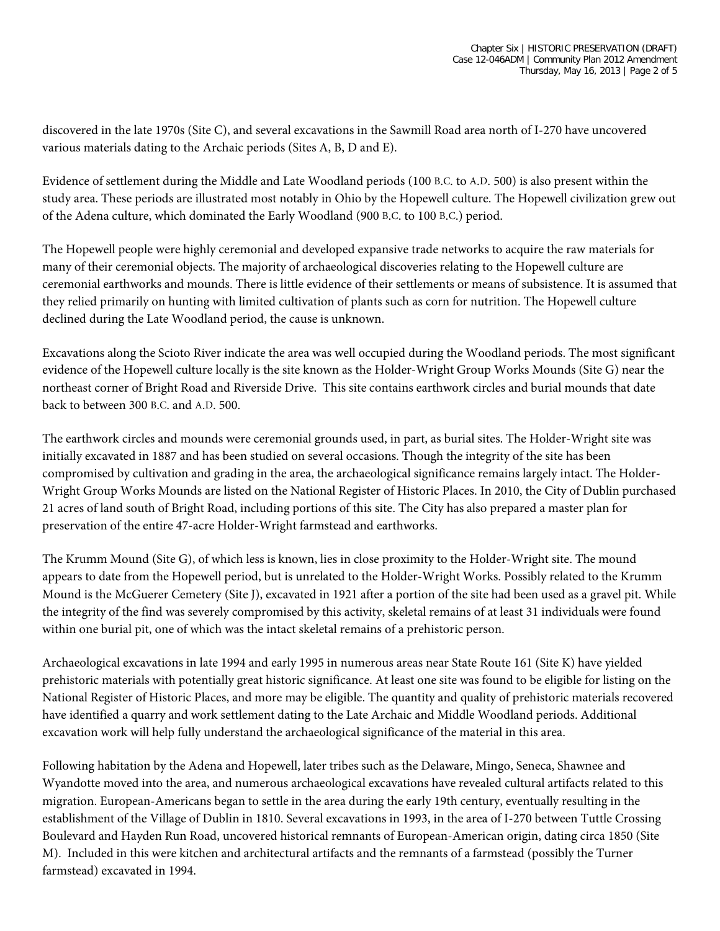discovered in the late 1970s (Site C), and several excavations in the Sawmill Road area north of I-270 have uncovered various materials dating to the Archaic periods (Sites A, B, D and E).

Evidence of settlement during the Middle and Late Woodland periods (100 B.C. to A.D. 500) is also present within the study area. These periods are illustrated most notably in Ohio by the Hopewell culture. The Hopewell civilization grew out of the Adena culture, which dominated the Early Woodland (900 B.C. to 100 B.C.) period.

The Hopewell people were highly ceremonial and developed expansive trade networks to acquire the raw materials for many of their ceremonial objects. The majority of archaeological discoveries relating to the Hopewell culture are ceremonial earthworks and mounds. There is little evidence of their settlements or means of subsistence. It is assumed that they relied primarily on hunting with limited cultivation of plants such as corn for nutrition. The Hopewell culture declined during the Late Woodland period, the cause is unknown.

Excavations along the Scioto River indicate the area was well occupied during the Woodland periods. The most significant evidence of the Hopewell culture locally is the site known as the Holder-Wright Group Works Mounds (Site G) near the northeast corner of Bright Road and Riverside Drive. This site contains earthwork circles and burial mounds that date back to between 300 B.C. and A.D. 500.

The earthwork circles and mounds were ceremonial grounds used, in part, as burial sites. The Holder-Wright site was initially excavated in 1887 and has been studied on several occasions. Though the integrity of the site has been compromised by cultivation and grading in the area, the archaeological significance remains largely intact. The Holder-Wright Group Works Mounds are listed on the National Register of Historic Places. In 2010, the City of Dublin purchased 21 acres of land south of Bright Road, including portions of this site. The City has also prepared a master plan for preservation of the entire 47-acre Holder-Wright farmstead and earthworks.

The Krumm Mound (Site G), of which less is known, lies in close proximity to the Holder-Wright site. The mound appears to date from the Hopewell period, but is unrelated to the Holder-Wright Works. Possibly related to the Krumm Mound is the McGuerer Cemetery (Site J), excavated in 1921 after a portion of the site had been used as a gravel pit. While the integrity of the find was severely compromised by this activity, skeletal remains of at least 31 individuals were found within one burial pit, one of which was the intact skeletal remains of a prehistoric person.

Archaeological excavations in late 1994 and early 1995 in numerous areas near State Route 161 (Site K) have yielded prehistoric materials with potentially great historic significance. At least one site was found to be eligible for listing on the National Register of Historic Places, and more may be eligible. The quantity and quality of prehistoric materials recovered have identified a quarry and work settlement dating to the Late Archaic and Middle Woodland periods. Additional excavation work will help fully understand the archaeological significance of the material in this area.

Following habitation by the Adena and Hopewell, later tribes such as the Delaware, Mingo, Seneca, Shawnee and Wyandotte moved into the area, and numerous archaeological excavations have revealed cultural artifacts related to this migration. European-Americans began to settle in the area during the early 19th century, eventually resulting in the establishment of the Village of Dublin in 1810. Several excavations in 1993, in the area of I-270 between Tuttle Crossing Boulevard and Hayden Run Road, uncovered historical remnants of European-American origin, dating circa 1850 (Site M). Included in this were kitchen and architectural artifacts and the remnants of a farmstead (possibly the Turner farmstead) excavated in 1994.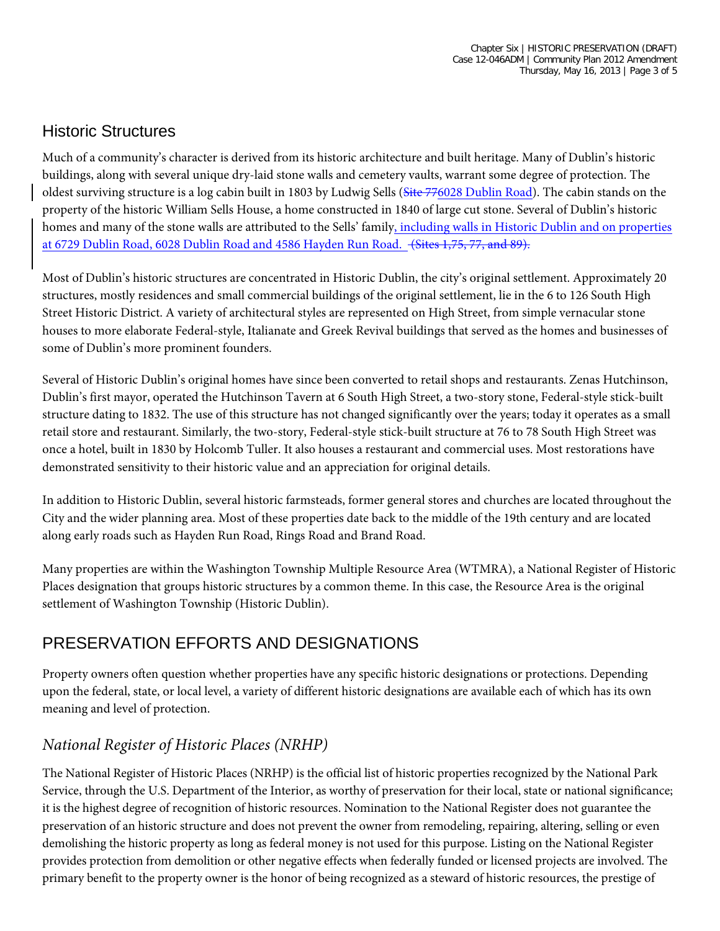## Historic Structures

Much of a community's character is derived from its historic architecture and built heritage. Many of Dublin's historic buildings, along with several unique dry-laid stone walls and cemetery vaults, warrant some degree of protection. The oldest surviving structure is a log cabin built in 1803 by Ludwig Sells (Site 776028 Dublin Road). The cabin stands on the property of the historic William Sells House, a home constructed in 1840 of large cut stone. Several of Dublin's historic homes and many of the stone walls are attributed to the Sells' family, including walls in Historic Dublin and on properties at 6729 Dublin Road, 6028 Dublin Road and 4586 Hayden Run Road. (Sites 1,75, 77, and 89).

Most of Dublin's historic structures are concentrated in Historic Dublin, the city's original settlement. Approximately 20 structures, mostly residences and small commercial buildings of the original settlement, lie in the 6 to 126 South High Street Historic District. A variety of architectural styles are represented on High Street, from simple vernacular stone houses to more elaborate Federal-style, Italianate and Greek Revival buildings that served as the homes and businesses of some of Dublin's more prominent founders.

Several of Historic Dublin's original homes have since been converted to retail shops and restaurants. Zenas Hutchinson, Dublin's first mayor, operated the Hutchinson Tavern at 6 South High Street, a two-story stone, Federal-style stick-built structure dating to 1832. The use of this structure has not changed significantly over the years; today it operates as a small retail store and restaurant. Similarly, the two-story, Federal-style stick-built structure at 76 to 78 South High Street was once a hotel, built in 1830 by Holcomb Tuller. It also houses a restaurant and commercial uses. Most restorations have demonstrated sensitivity to their historic value and an appreciation for original details.

In addition to Historic Dublin, several historic farmsteads, former general stores and churches are located throughout the City and the wider planning area. Most of these properties date back to the middle of the 19th century and are located along early roads such as Hayden Run Road, Rings Road and Brand Road.

Many properties are within the Washington Township Multiple Resource Area (WTMRA), a National Register of Historic Places designation that groups historic structures by a common theme. In this case, the Resource Area is the original settlement of Washington Township (Historic Dublin).

# PRESERVATION EFFORTS AND DESIGNATIONS

Property owners often question whether properties have any specific historic designations or protections. Depending upon the federal, state, or local level, a variety of different historic designations are available each of which has its own meaning and level of protection.

## *National Register of Historic Places (NRHP)*

The National Register of Historic Places (NRHP) is the official list of historic properties recognized by the National Park Service, through the U.S. Department of the Interior, as worthy of preservation for their local, state or national significance; it is the highest degree of recognition of historic resources. Nomination to the National Register does not guarantee the preservation of an historic structure and does not prevent the owner from remodeling, repairing, altering, selling or even demolishing the historic property as long as federal money is not used for this purpose. Listing on the National Register provides protection from demolition or other negative effects when federally funded or licensed projects are involved. The primary benefit to the property owner is the honor of being recognized as a steward of historic resources, the prestige of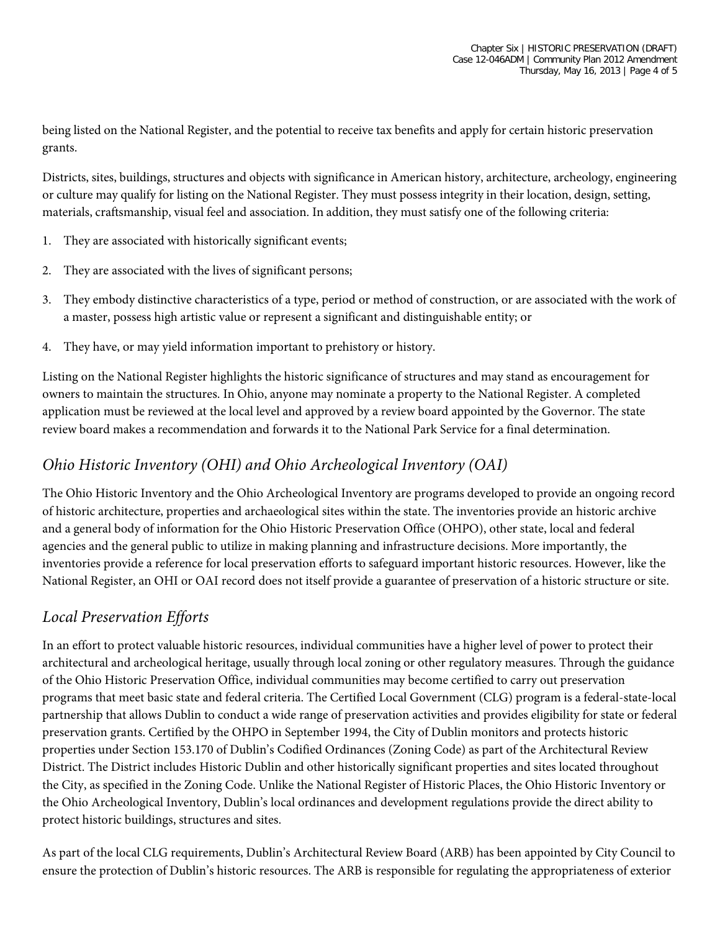being listed on the National Register, and the potential to receive tax benefits and apply for certain historic preservation grants.

Districts, sites, buildings, structures and objects with significance in American history, architecture, archeology, engineering or culture may qualify for listing on the National Register. They must possess integrity in their location, design, setting, materials, craftsmanship, visual feel and association. In addition, they must satisfy one of the following criteria:

- 1. They are associated with historically significant events;
- 2. They are associated with the lives of significant persons;
- 3. They embody distinctive characteristics of a type, period or method of construction, or are associated with the work of a master, possess high artistic value or represent a significant and distinguishable entity; or
- 4. They have, or may yield information important to prehistory or history.

Listing on the National Register highlights the historic significance of structures and may stand as encouragement for owners to maintain the structures. In Ohio, anyone may nominate a property to the National Register. A completed application must be reviewed at the local level and approved by a review board appointed by the Governor. The state review board makes a recommendation and forwards it to the National Park Service for a final determination.

#### *Ohio Historic Inventory (OHI) and Ohio Archeological Inventory (OAI)*

The Ohio Historic Inventory and the Ohio Archeological Inventory are programs developed to provide an ongoing record of historic architecture, properties and archaeological sites within the state. The inventories provide an historic archive and a general body of information for the Ohio Historic Preservation Office (OHPO), other state, local and federal agencies and the general public to utilize in making planning and infrastructure decisions. More importantly, the inventories provide a reference for local preservation efforts to safeguard important historic resources. However, like the National Register, an OHI or OAI record does not itself provide a guarantee of preservation of a historic structure or site.

### *Local Preservation Efforts*

In an effort to protect valuable historic resources, individual communities have a higher level of power to protect their architectural and archeological heritage, usually through local zoning or other regulatory measures. Through the guidance of the Ohio Historic Preservation Office, individual communities may become certified to carry out preservation programs that meet basic state and federal criteria. The Certified Local Government (CLG) program is a federal-state-local partnership that allows Dublin to conduct a wide range of preservation activities and provides eligibility for state or federal preservation grants. Certified by the OHPO in September 1994, the City of Dublin monitors and protects historic properties under Section 153.170 of Dublin's Codified Ordinances (Zoning Code) as part of the Architectural Review District. The District includes Historic Dublin and other historically significant properties and sites located throughout the City, as specified in the Zoning Code. Unlike the National Register of Historic Places, the Ohio Historic Inventory or the Ohio Archeological Inventory, Dublin's local ordinances and development regulations provide the direct ability to protect historic buildings, structures and sites.

As part of the local CLG requirements, Dublin's Architectural Review Board (ARB) has been appointed by City Council to ensure the protection of Dublin's historic resources. The ARB is responsible for regulating the appropriateness of exterior